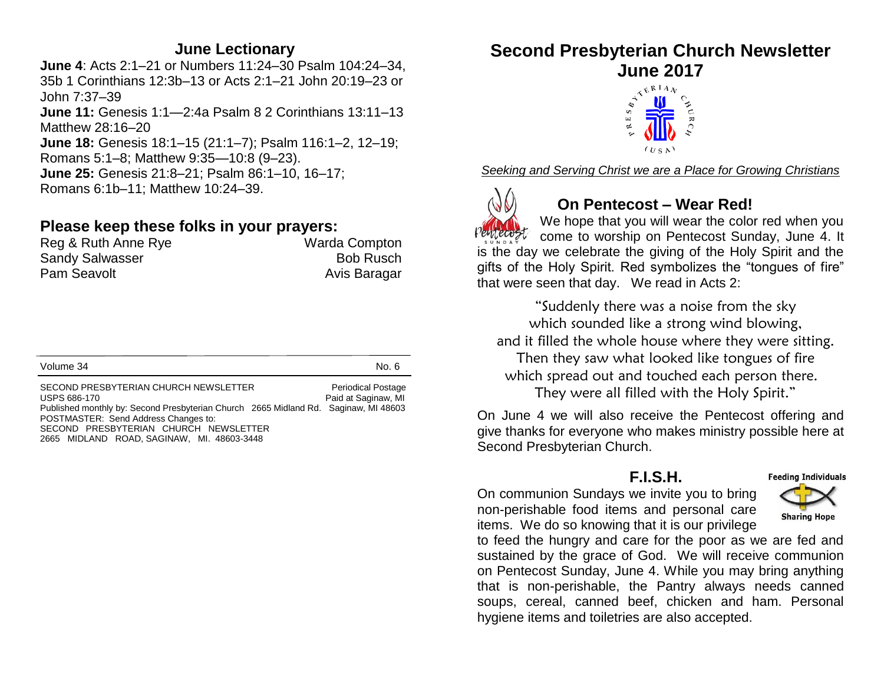#### **June Lectionary**

**June 4**: Acts 2:1–21 or Numbers 11:24–30 Psalm 104:24–34, 35b 1 Corinthians 12:3b–13 or Acts 2:1–21 John 20:19–23 or John 7:37–39

**June 11:** Genesis 1:1—2:4a Psalm 8 2 Corinthians 13:11–13 Matthew 28:16–20

**June 18:** Genesis 18:1–15 (21:1–7); Psalm 116:1–2, 12–19; Romans 5:1–8; Matthew 9:35—10:8 (9–23).

**June 25:** Genesis 21:8–21; Psalm 86:1–10, 16–17; Romans 6:1b–11; Matthew 10:24–39.

### **Please keep these folks in your prayers:**

| Reg & Ruth Anne Rye    | Warda Compton    |
|------------------------|------------------|
| <b>Sandy Salwasser</b> | <b>Bob Rusch</b> |
| Pam Seavolt            | Avis Baragar     |

Volume 34 No. 6

SECOND PRESBYTERIAN CHURCH NEWSLETTER Periodical Postage USPS 686-170 **Paid at Saginaw, MI** Published monthly by: Second Presbyterian Church 2665 Midland Rd. Saginaw, MI 48603 POSTMASTER: Send Address Changes to: SECOND PRESBYTERIAN CHURCH NEWSLETTER 2665 MIDLAND ROAD, SAGINAW, MI. 48603-3448

# **Second Presbyterian Church Newsletter June 2017**



*Seeking and Serving Christ we are a Place for Growing Christians*



# **On Pentecost – Wear Red!**

We hope that you will wear the color red when you come to worship on Pentecost Sunday, June 4. It is the day we celebrate the giving of the Holy Spirit and the gifts of the Holy Spirit. Red symbolizes the "tongues of fire" that were seen that day. We read in Acts 2:

"Suddenly there was a noise from the sky which sounded like a strong wind blowing, and it filled the whole house where they were sitting. Then they saw what looked like tongues of fire which spread out and touched each person there. They were all filled with the Holy Spirit."

On June 4 we will also receive the Pentecost offering and give thanks for everyone who makes ministry possible here at Second Presbyterian Church.

#### **F.I.S.H.**

**Feeding Individuals** 

On communion Sundays we invite you to bring non-perishable food items and personal care items. We do so knowing that it is our privilege



to feed the hungry and care for the poor as we are fed and sustained by the grace of God. We will receive communion on Pentecost Sunday, June 4. While you may bring anything that is non-perishable, the Pantry always needs canned soups, cereal, canned beef, chicken and ham. Personal hygiene items and toiletries are also accepted.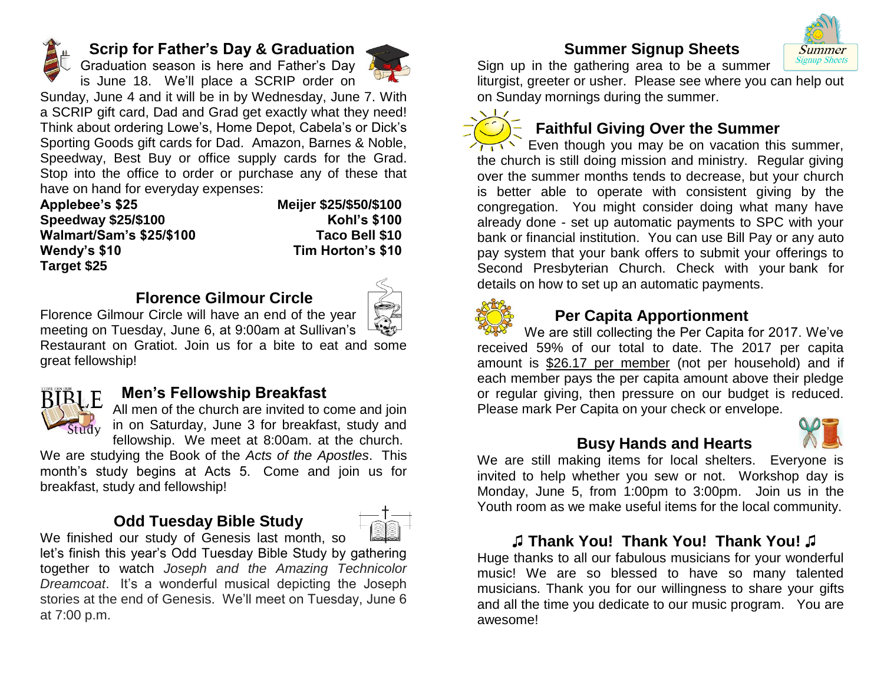

#### **Scrip for Father's Day & Graduation**

Graduation season is here and Father's Day is June 18. We'll place a SCRIP order on



Sunday, June 4 and it will be in by Wednesday, June 7. With a SCRIP gift card, Dad and Grad get exactly what they need! Think about ordering Lowe's, Home Depot, Cabela's or Dick's Sporting Goods gift cards for Dad. Amazon, Barnes & Noble, Speedway, Best Buy or office supply cards for the Grad. Stop into the office to order or purchase any of these that have on hand for everyday expenses:

| Applebee's \$25                 | Meijer \$25/\$50/\$100 |
|---------------------------------|------------------------|
| <b>Speedway \$25/\$100</b>      | <b>Kohl's \$100</b>    |
| <b>Walmart/Sam's \$25/\$100</b> | Taco Bell \$10         |
| Wendy's \$10                    | Tim Horton's \$10      |
| Target \$25                     |                        |

#### **Florence Gilmour Circle**



Florence Gilmour Circle will have an end of the year meeting on Tuesday, June 6, at 9:00am at Sullivan's Restaurant on Gratiot. Join us for a bite to eat and some great fellowship!



#### **Men's Fellowship Breakfast**

All men of the church are invited to come and join Study in on Saturday, June 3 for breakfast, study and fellowship. We meet at 8:00am. at the church.

We are studying the Book of the *Acts of the Apostles*. This month's study begins at Acts 5. Come and join us for breakfast, study and fellowship!

# **Odd Tuesday Bible Study**



We finished our study of Genesis last month, so let's finish this year's Odd Tuesday Bible Study by gathering together to watch *Joseph and the Amazing Technicolor Dreamcoat*. It's a wonderful musical depicting the Joseph stories at the end of Genesis. We'll meet on Tuesday, June 6 at 7:00 p.m.

# **Summer Signup Sheets**



Sign up in the gathering area to be a summer liturgist, greeter or usher. Please see where you can help out

on Sunday mornings during the summer.

# **Faithful Giving Over the Summer**

Even though you may be on vacation this summer. the church is still doing mission and ministry. Regular giving over the summer months tends to decrease, but your church is better able to operate with consistent giving by the congregation. You might consider doing what many have already done - set up automatic payments to SPC with your bank or financial institution. You can use Bill Pay or any auto pay system that your bank offers to submit your offerings to Second Presbyterian Church. Check with your bank for details on how to set up an automatic payments.



#### **Per Capita Apportionment**

We are still collecting the Per Capita for 2017. We've received 59% of our total to date. The 2017 per capita amount is \$26.17 per member (not per household) and if each member pays the per capita amount above their pledge or regular giving, then pressure on our budget is reduced. Please mark Per Capita on your check or envelope.



#### **Busy Hands and Hearts**

We are still making items for local shelters. Everyone is invited to help whether you sew or not. Workshop day is Monday, June 5, from 1:00pm to 3:00pm. Join us in the Youth room as we make useful items for the local community.

#### **♫ Thank You! Thank You! Thank You! ♫**

Huge thanks to all our fabulous musicians for your wonderful music! We are so blessed to have so many talented musicians. Thank you for our willingness to share your gifts and all the time you dedicate to our music program. You are awesome!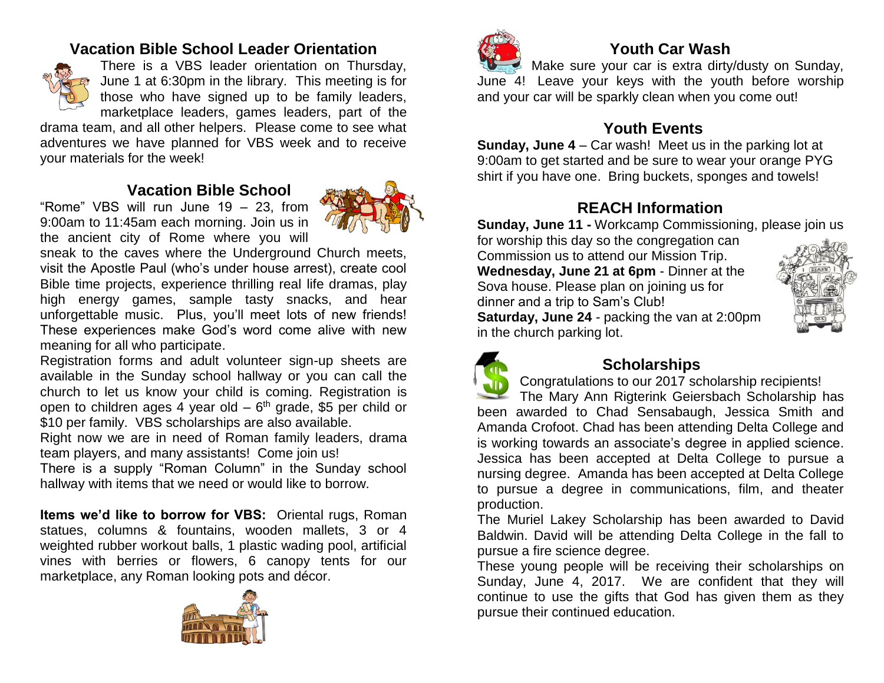# **Vacation Bible School Leader Orientation**



There is a VBS leader orientation on Thursday, June 1 at 6:30pm in the library. This meeting is for those who have signed up to be family leaders, marketplace leaders, games leaders, part of the

drama team, and all other helpers. Please come to see what adventures we have planned for VBS week and to receive your materials for the week!

# **Vacation Bible School**

"Rome" VBS will run June 19 – 23, from 9:00am to 11:45am each morning. Join us in the ancient city of Rome where you will



sneak to the caves where the Underground Church meets, visit the Apostle Paul (who's under house arrest), create cool Bible time projects, experience thrilling real life dramas, play high energy games, sample tasty snacks, and hear unforgettable music. Plus, you'll meet lots of new friends! These experiences make God's word come alive with new meaning for all who participate.

Registration forms and adult volunteer sign-up sheets are available in the Sunday school hallway or you can call the church to let us know your child is coming. Registration is open to children ages 4 year old  $-6<sup>th</sup>$  grade, \$5 per child or \$10 per family. VBS scholarships are also available.

Right now we are in need of Roman family leaders, drama team players, and many assistants! Come join us!

There is a supply "Roman Column" in the Sunday school hallway with items that we need or would like to borrow.

**Items we'd like to borrow for VBS:** Oriental rugs, Roman statues, columns & fountains, wooden mallets, 3 or 4 weighted rubber workout balls, 1 plastic wading pool, artificial vines with berries or flowers, 6 canopy tents for our marketplace, any Roman looking pots and décor.





# **Youth Car Wash**

Make sure your car is extra dirty/dusty on Sunday, June 4! Leave your keys with the youth before worship and your car will be sparkly clean when you come out!

# **Youth Events**

**Sunday, June 4** – Car wash! Meet us in the parking lot at 9:00am to get started and be sure to wear your orange PYG shirt if you have one. Bring buckets, sponges and towels!

# **REACH Information**

**Sunday, June 11 -** Workcamp Commissioning, please join us

for worship this day so the congregation can Commission us to attend our Mission Trip. **Wednesday, June 21 at 6pm** - Dinner at the Sova house. Please plan on joining us for dinner and a trip to Sam's Club!

**Saturday, June 24** - packing the van at 2:00pm in the church parking lot.





# **Scholarships**

Congratulations to our 2017 scholarship recipients! The Mary Ann Rigterink Geiersbach Scholarship has been awarded to Chad Sensabaugh, Jessica Smith and Amanda Crofoot. Chad has been attending Delta College and is working towards an associate's degree in applied science. Jessica has been accepted at Delta College to pursue a nursing degree. Amanda has been accepted at Delta College to pursue a degree in communications, film, and theater production.

The Muriel Lakey Scholarship has been awarded to David Baldwin. David will be attending Delta College in the fall to pursue a fire science degree.

These young people will be receiving their scholarships on Sunday, June 4, 2017. We are confident that they will continue to use the gifts that God has given them as they pursue their continued education.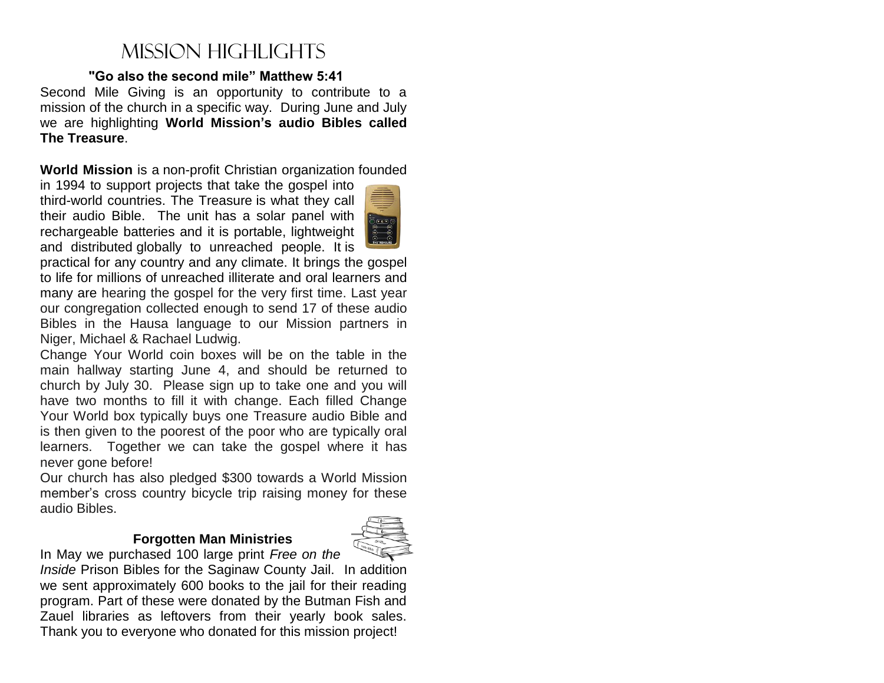# Mission Highlights

#### **"Go also the second mile" Matthew 5:41**

Second Mile Giving is an opportunity to contribute to a mission of the church in a specific way. During June and July we are highlighting **World Mission's audio Bibles called The Treasure**.

**World Mission** is a non-profit Christian organization founded

in 1994 to support projects that take the gospel into third-world countries. The Treasure is what they call their audio Bible. The unit has a solar panel with rechargeable batteries and it is portable, lightweight and distributed globally to unreached people. It is



practical for any country and any climate. It brings the gospel to life for millions of unreached illiterate and oral learners and many are hearing the gospel for the very first time. Last year our congregation collected enough to send 17 of these audio Bibles in the Hausa language to our Mission partners in Niger, Michael & Rachael Ludwig.

Change Your World coin boxes will be on the table in the main hallway starting June 4, and should be returned to church by July 30. Please sign up to take one and you will have two months to fill it with change. Each filled Change Your World box typically buys one Treasure audio Bible and is then given to the poorest of the poor who are typically oral learners. Together we can take the gospel where it has never gone before!

Our church has also pledged \$300 towards a World Mission member's cross country bicycle trip raising money for these audio Bibles.

#### **Forgotten Man Ministries**



In May we purchased 100 large print *Free on the Inside* Prison Bibles for the Saginaw County Jail. In addition we sent approximately 600 books to the jail for their reading program. Part of these were donated by the Butman Fish and Zauel libraries as leftovers from their yearly book sales. Thank you to everyone who donated for this mission project!